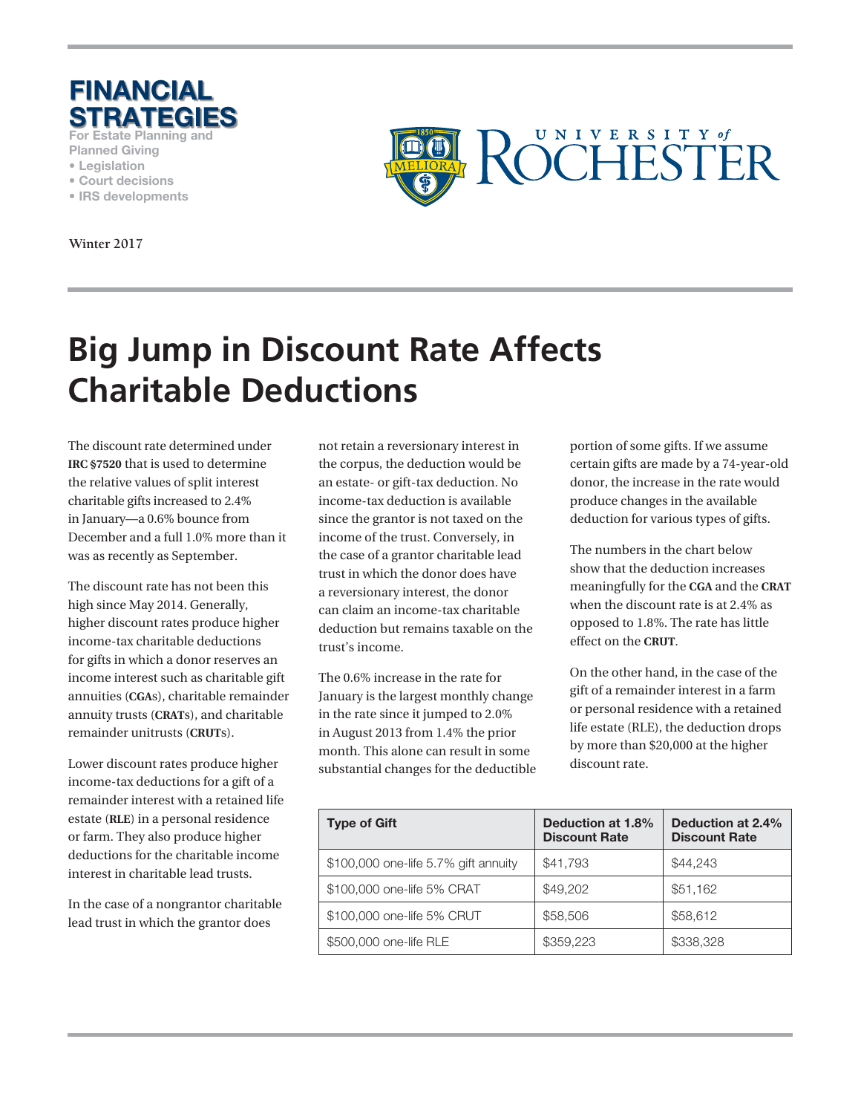

**For Estate Planning and** 

- **Planned Giving • Legislation**
- **Court decisions**
- **IRS developments**

**Winter 2017**



# **Big Jump in Discount Rate Affects Charitable Deductions**

The discount rate determined under **IRC §7520** that is used to determine the relative values of split interest charitable gifts increased to 2.4% in January—a 0.6% bounce from December and a full 1.0% more than it was as recently as September.

The discount rate has not been this high since May 2014. Generally, higher discount rates produce higher income-tax charitable deductions for gifts in which a donor reserves an income interest such as charitable gift annuities (**CGA**s), charitable remainder annuity trusts (**CRAT**s), and charitable remainder unitrusts (**CRUT**s).

Lower discount rates produce higher income-tax deductions for a gift of a remainder interest with a retained life estate (**RLE**) in a personal residence or farm. They also produce higher deductions for the charitable income interest in charitable lead trusts.

In the case of a nongrantor charitable lead trust in which the grantor does

not retain a reversionary interest in the corpus, the deduction would be an estate- or gift-tax deduction. No income-tax deduction is available since the grantor is not taxed on the income of the trust. Conversely, in the case of a grantor charitable lead trust in which the donor does have a reversionary interest, the donor can claim an income-tax charitable deduction but remains taxable on the trust's income.

The 0.6% increase in the rate for January is the largest monthly change in the rate since it jumped to 2.0% in August 2013 from 1.4% the prior month. This alone can result in some substantial changes for the deductible portion of some gifts. If we assume certain gifts are made by a 74-year-old donor, the increase in the rate would produce changes in the available deduction for various types of gifts.

The numbers in the chart below show that the deduction increases meaningfully for the **CGA** and the **CRAT** when the discount rate is at 2.4% as opposed to 1.8%. The rate has little effect on the **CRUT**.

On the other hand, in the case of the gift of a remainder interest in a farm or personal residence with a retained life estate (RLE), the deduction drops by more than \$20,000 at the higher discount rate.

| <b>Type of Gift</b>                  | Deduction at 1.8%<br><b>Discount Rate</b> | Deduction at 2.4%<br><b>Discount Rate</b> |
|--------------------------------------|-------------------------------------------|-------------------------------------------|
| \$100,000 one-life 5.7% gift annuity | \$41,793                                  | \$44,243                                  |
| \$100,000 one-life 5% CRAT           | \$49,202                                  | \$51,162                                  |
| \$100,000 one-life 5% CRUT           | \$58,506                                  | \$58,612                                  |
| \$500,000 one-life RLE               | \$359,223                                 | \$338,328                                 |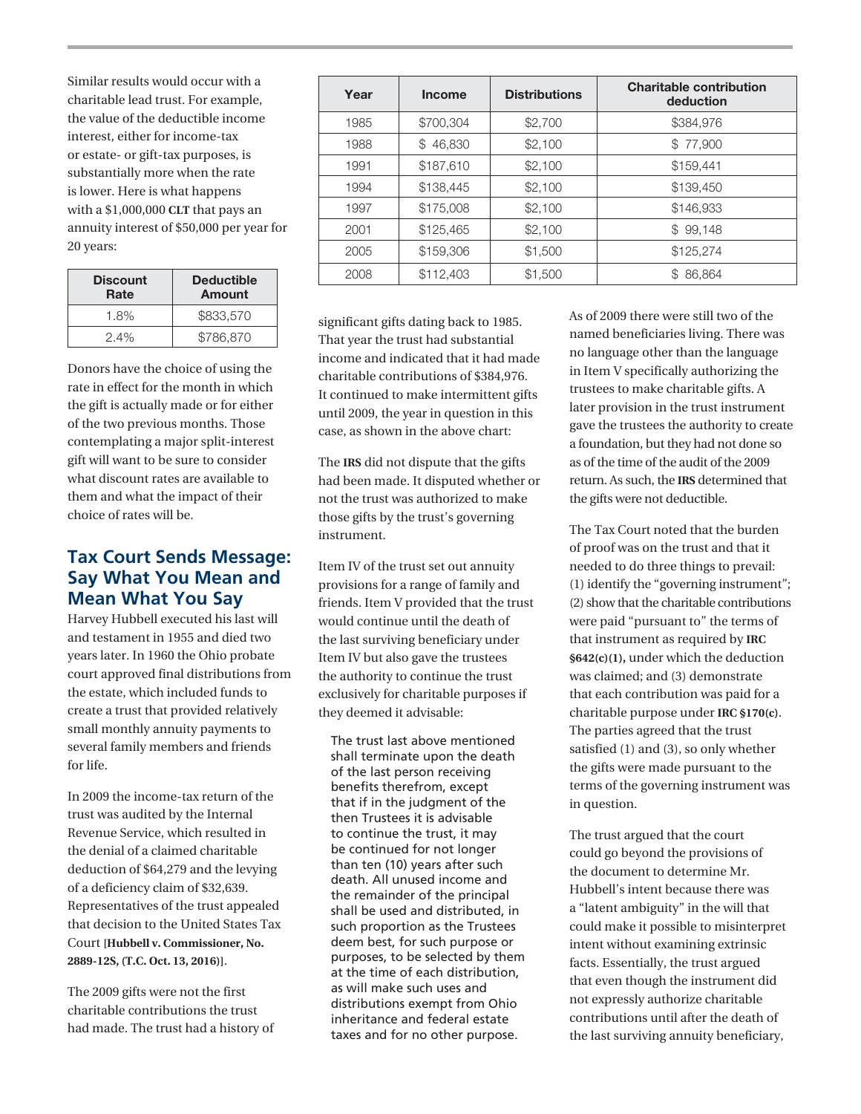Similar results would occur with a charitable lead trust. For example, the value of the deductible income interest, either for income-tax or estate- or gift-tax purposes, is substantially more when the rate is lower. Here is what happens with a \$1,000,000 **CLT** that pays an annuity interest of \$50,000 per year for 20 years:

| <b>Discount</b><br>Rate | <b>Deductible</b><br>Amount |  |
|-------------------------|-----------------------------|--|
| 1.8%                    | \$833,570                   |  |
| $2.4\%$                 | \$786,870                   |  |

Donors have the choice of using the rate in effect for the month in which the gift is actually made or for either of the two previous months. Those contemplating a major split-interest gift will want to be sure to consider what discount rates are available to them and what the impact of their choice of rates will be.

### **Tax Court Sends Message: Say What You Mean and Mean What You Say**

Harvey Hubbell executed his last will and testament in 1955 and died two years later. In 1960 the Ohio probate court approved final distributions from the estate, which included funds to create a trust that provided relatively small monthly annuity payments to several family members and friends for life.

In 2009 the income-tax return of the trust was audited by the Internal Revenue Service, which resulted in the denial of a claimed charitable deduction of \$64,279 and the levying of a deficiency claim of \$32,639. Representatives of the trust appealed that decision to the United States Tax Court **[Hubbell v. Commissioner, No. 2889-12S, (T.C. Oct. 13, 2016)]**.

The 2009 gifts were not the first charitable contributions the trust had made. The trust had a history of

| Year | <b>Income</b> | <b>Distributions</b> | <b>Charitable contribution</b><br>deduction |
|------|---------------|----------------------|---------------------------------------------|
| 1985 | \$700.304     | \$2,700              | \$384,976                                   |
| 1988 | 46,830<br>S.  | \$2,100              | \$77,900                                    |
| 1991 | \$187,610     | \$2.100              | \$159.441                                   |
| 1994 | \$138,445     | \$2.100              | \$139,450                                   |
| 1997 | \$175,008     | \$2,100              | \$146,933                                   |
| 2001 | \$125,465     | \$2,100              | \$99,148                                    |
| 2005 | \$159,306     | \$1,500              | \$125,274                                   |
| 2008 | \$112,403     | \$1,500              | \$86,864                                    |

significant gifts dating back to 1985. That year the trust had substantial income and indicated that it had made charitable contributions of \$384,976. It continued to make intermittent gifts until 2009, the year in question in this case, as shown in the above chart:

The **IRS** did not dispute that the gifts had been made. It disputed whether or not the trust was authorized to make those gifts by the trust's governing instrument.

Item IV of the trust set out annuity provisions for a range of family and friends. Item V provided that the trust would continue until the death of the last surviving beneficiary under Item IV but also gave the trustees the authority to continue the trust exclusively for charitable purposes if they deemed it advisable:

The trust last above mentioned shall terminate upon the death of the last person receiving benefits therefrom, except that if in the judgment of the then Trustees it is advisable to continue the trust, it may be continued for not longer than ten (10) years after such death. All unused income and the remainder of the principal shall be used and distributed, in such proportion as the Trustees deem best, for such purpose or purposes, to be selected by them at the time of each distribution, as will make such uses and distributions exempt from Ohio inheritance and federal estate taxes and for no other purpose.

As of 2009 there were still two of the named beneficiaries living. There was no language other than the language in Item V specifically authorizing the trustees to make charitable gifts. A later provision in the trust instrument gave the trustees the authority to create a foundation, but they had not done so as of the time of the audit of the 2009 return. As such, the **IRS** determined that the gifts were not deductible.

The Tax Court noted that the burden of proof was on the trust and that it needed to do three things to prevail: (1) identify the "governing instrument"; (2) show that the charitable contributions were paid "pursuant to" the terms of that instrument as required by **IRC §642(c)(1),** under which the deduction was claimed; and (3) demonstrate that each contribution was paid for a charitable purpose under **IRC §170(c)**. The parties agreed that the trust satisfied (1) and (3), so only whether the gifts were made pursuant to the terms of the governing instrument was in question.

The trust argued that the court could go beyond the provisions of the document to determine Mr. Hubbell's intent because there was a "latent ambiguity" in the will that could make it possible to misinterpret intent without examining extrinsic facts. Essentially, the trust argued that even though the instrument did not expressly authorize charitable contributions until after the death of the last surviving annuity beneficiary,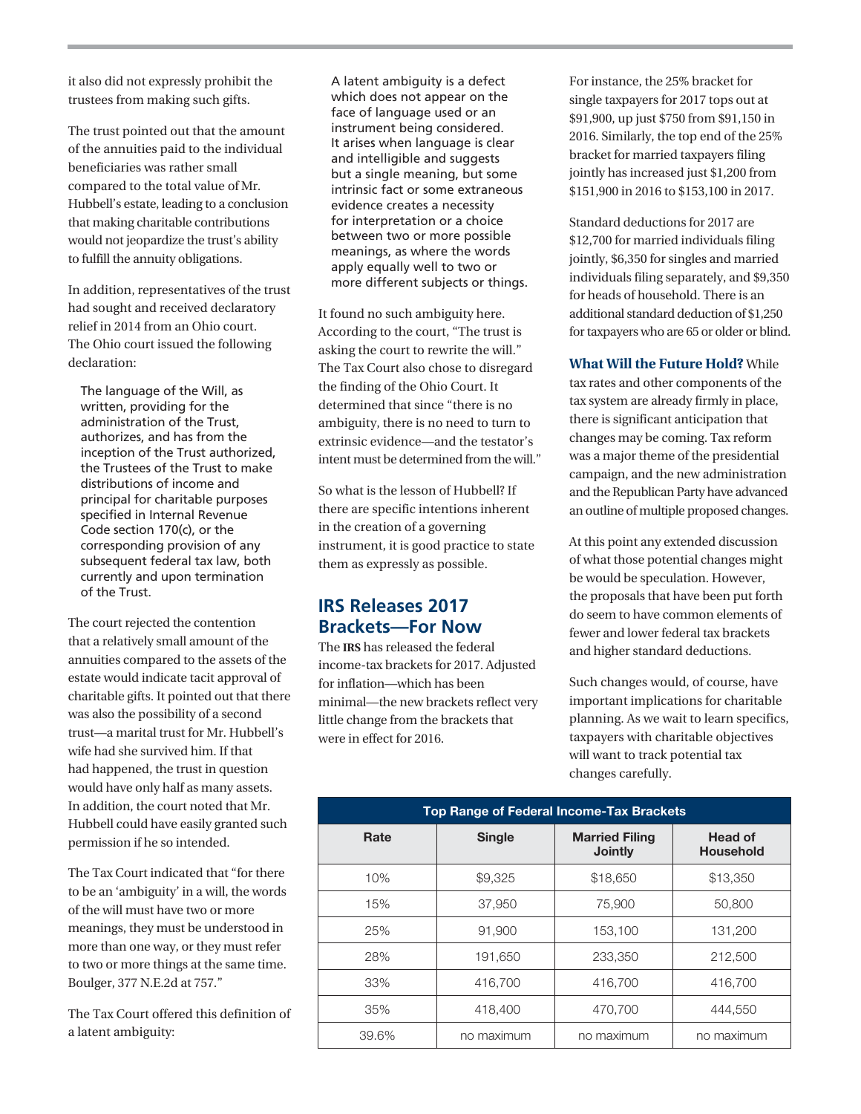it also did not expressly prohibit the trustees from making such gifts.

The trust pointed out that the amount of the annuities paid to the individual beneficiaries was rather small compared to the total value of Mr. Hubbell's estate, leading to a conclusion that making charitable contributions would not jeopardize the trust's ability to fulfill the annuity obligations.

In addition, representatives of the trust had sought and received declaratory relief in 2014 from an Ohio court. The Ohio court issued the following declaration:

The language of the Will, as written, providing for the administration of the Trust, authorizes, and has from the inception of the Trust authorized, the Trustees of the Trust to make distributions of income and principal for charitable purposes specified in Internal Revenue Code section 170(c), or the corresponding provision of any subsequent federal tax law, both currently and upon termination of the Trust.

The court rejected the contention that a relatively small amount of the annuities compared to the assets of the estate would indicate tacit approval of charitable gifts. It pointed out that there was also the possibility of a second trust—a marital trust for Mr. Hubbell's wife had she survived him. If that had happened, the trust in question would have only half as many assets. In addition, the court noted that Mr. Hubbell could have easily granted such permission if he so intended.

The Tax Court indicated that "for there to be an 'ambiguity' in a will, the words of the will must have two or more meanings, they must be understood in more than one way, or they must refer to two or more things at the same time. Boulger, 377 N.E.2d at 757."

The Tax Court offered this definition of a latent ambiguity:

A latent ambiguity is a defect which does not appear on the face of language used or an instrument being considered. It arises when language is clear and intelligible and suggests but a single meaning, but some intrinsic fact or some extraneous evidence creates a necessity for interpretation or a choice between two or more possible meanings, as where the words apply equally well to two or more different subjects or things.

It found no such ambiguity here. According to the court, "The trust is asking the court to rewrite the will." The Tax Court also chose to disregard the finding of the Ohio Court. It determined that since "there is no ambiguity, there is no need to turn to extrinsic evidence—and the testator's intent must be determined from the will."

So what is the lesson of Hubbell? If there are specific intentions inherent in the creation of a governing instrument, it is good practice to state them as expressly as possible.

## **IRS Releases 2017 Brackets—For Now**

The **IRS** has released the federal income-tax brackets for 2017. Adjusted for inflation—which has been minimal—the new brackets reflect very little change from the brackets that were in effect for 2016.

For instance, the 25% bracket for single taxpayers for 2017 tops out at \$91,900, up just \$750 from \$91,150 in 2016. Similarly, the top end of the 25% bracket for married taxpayers filing jointly has increased just \$1,200 from \$151,900 in 2016 to \$153,100 in 2017.

Standard deductions for 2017 are \$12,700 for married individuals filing jointly, \$6,350 for singles and married individuals filing separately, and \$9,350 for heads of household. There is an additional standard deduction of \$1,250 for taxpayers who are 65 or older or blind.

**What Will the Future Hold?** While tax rates and other components of the tax system are already firmly in place, there is significant anticipation that changes may be coming. Tax reform was a major theme of the presidential campaign, and the new administration and the Republican Party have advanced an outline of multiple proposed changes.

At this point any extended discussion of what those potential changes might be would be speculation. However, the proposals that have been put forth do seem to have common elements of fewer and lower federal tax brackets and higher standard deductions.

Such changes would, of course, have important implications for charitable planning. As we wait to learn specifics, taxpayers with charitable objectives will want to track potential tax changes carefully.

| Top Range of Federal Income-Tax Brackets |               |                                         |                                    |  |  |  |
|------------------------------------------|---------------|-----------------------------------------|------------------------------------|--|--|--|
| Rate                                     | <b>Single</b> | <b>Married Filing</b><br><b>Jointly</b> | <b>Head of</b><br><b>Household</b> |  |  |  |
| 10%                                      | \$9,325       | \$18,650                                | \$13,350                           |  |  |  |
| 15%                                      | 37,950        | 75,900                                  | 50,800                             |  |  |  |
| 25%                                      | 91,900        | 153,100                                 | 131,200                            |  |  |  |
| 28%                                      | 191,650       | 233,350                                 | 212,500                            |  |  |  |
| 33%                                      | 416,700       | 416,700                                 | 416,700                            |  |  |  |
| 35%                                      | 418,400       | 470,700                                 | 444.550                            |  |  |  |
| 39.6%                                    | no maximum    | no maximum                              | no maximum                         |  |  |  |